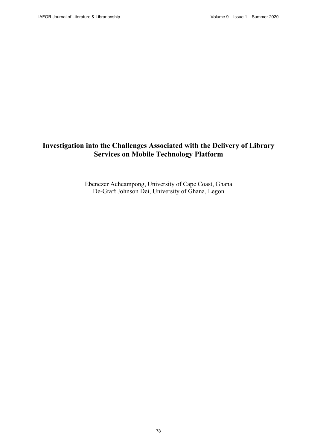# **Investigation into the Challenges Associated with the Delivery of Library Services on Mobile Technology Platform**

Ebenezer Acheampong, University of Cape Coast, Ghana De-Graft Johnson Dei, University of Ghana, Legon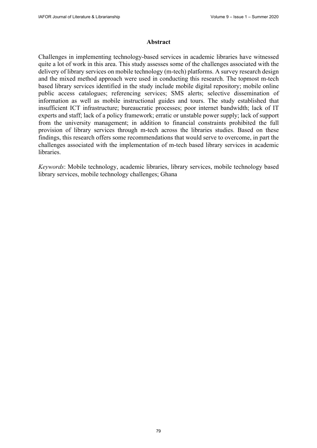#### **Abstract**

Challenges in implementing technology-based services in academic libraries have witnessed quite a lot of work in this area. This study assesses some of the challenges associated with the delivery of library services on mobile technology (m-tech) platforms. A survey research design and the mixed method approach were used in conducting this research. The topmost m-tech based library services identified in the study include mobile digital repository; mobile online public access catalogues; referencing services; SMS alerts; selective dissemination of information as well as mobile instructional guides and tours. The study established that insufficient ICT infrastructure; bureaucratic processes; poor internet bandwidth; lack of IT experts and staff; lack of a policy framework; erratic or unstable power supply; lack of support from the university management; in addition to financial constraints prohibited the full provision of library services through m-tech across the libraries studies. Based on these findings, this research offers some recommendations that would serve to overcome, in part the challenges associated with the implementation of m-tech based library services in academic libraries.

*Keywords*: Mobile technology, academic libraries, library services, mobile technology based library services, mobile technology challenges; Ghana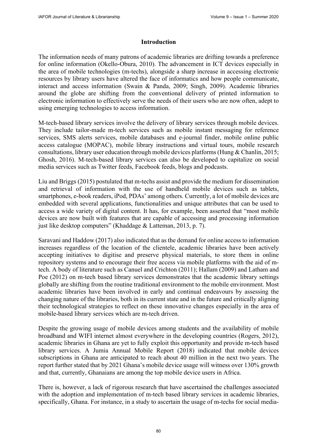#### **Introduction**

The information needs of many patrons of academic libraries are drifting towards a preference for online information (Okello-Obura, 2010). The advancement in ICT devices especially in the area of mobile technologies (m-techs), alongside a sharp increase in accessing electronic resources by library users have altered the face of informatics and how people communicate, interact and access information (Swain & Panda, 2009; Singh, 2009). Academic libraries around the globe are shifting from the conventional delivery of printed information to electronic information to effectively serve the needs of their users who are now often, adept to using emerging technologies to access information.

M-tech-based library services involve the delivery of library services through mobile devices. They include tailor-made m-tech services such as mobile instant messaging for reference services, SMS alerts services, mobile databases and e-journal finder, mobile online public access catalogue (MOPAC), mobile library instructions and virtual tours, mobile research consultations, library user education through mobile devices platforms (Hung & Chanlin, 2015; Ghosh, 2016). M-tech-based library services can also be developed to capitalize on social media services such as Twitter feeds, Facebook feeds, blogs and podcasts.

Liu and Briggs (2015) postulated that m-techs assist and provide the medium for dissemination and retrieval of information with the use of handheld mobile devices such as tablets, smartphones, e-book readers, iPod, PDAs' among others. Currently, a lot of mobile devices are embedded with several applications, functionalities and unique attributes that can be used to access a wide variety of digital content. It has, for example, been asserted that "most mobile devices are now built with features that are capable of accessing and processing information just like desktop computers" (Khaddage & Latteman, 2013, p. 7).

Saravani and Haddow (2017) also indicated that as the demand for online access to information increases regardless of the location of the clientele, academic libraries have been actively accepting initiatives to digitise and preserve physical materials, to store them in online repository systems and to encourage their free access via mobile platforms with the aid of mtech. A body of literature such as Canuel and Crichton (2011); Hallam (2009) and Latham and Poe (2012) on m-tech based library services demonstrates that the academic library settings globally are shifting from the routine traditional environment to the mobile environment. Most academic libraries have been involved in early and continual endeavours by assessing the changing nature of the libraries, both in its current state and in the future and critically aligning their technological strategies to reflect on these innovative changes especially in the area of mobile-based library services which are m-tech driven.

Despite the growing usage of mobile devices among students and the availability of mobile broadband and WIFI internet almost everywhere in the developing countries (Rogers, 2012), academic libraries in Ghana are yet to fully exploit this opportunity and provide m-tech based library services. A Jumia Annual Mobile Report (2018) indicated that mobile devices subscriptions in Ghana are anticipated to reach about 40 million in the next two years. The report further stated that by 2021 Ghana's mobile device usage will witness over 130% growth and that, currently, Ghanaians are among the top mobile device users in Africa.

There is, however, a lack of rigorous research that have ascertained the challenges associated with the adoption and implementation of m-tech based library services in academic libraries, specifically, Ghana. For instance, in a study to ascertain the usage of m-techs for social media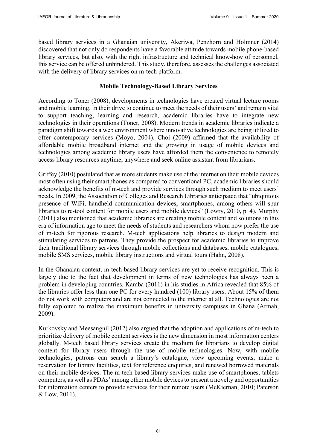based library services in a Ghanaian university, Akeriwa, Penzhorn and Holmner (2014) discovered that not only do respondents have a favorable attitude towards mobile phone-based library services, but also, with the right infrastructure and technical know-how of personnel, this service can be offered unhindered. This study, therefore, assesses the challenges associated with the delivery of library services on m-tech platform.

# **Mobile Technology-Based Library Services**

According to Toner (2008), developments in technologies have created virtual lecture rooms and mobile learning. In their drive to continue to meet the needs of their users' and remain vital to support teaching, learning and research, academic libraries have to integrate new technologies in their operations (Toner, 2008). Modern trends in academic libraries indicate a paradigm shift towards a web environment where innovative technologies are being utilized to offer contemporary services (Moyo, 2004). Choi (2009) affirmed that the availability of affordable mobile broadband internet and the growing in usage of mobile devices and technologies among academic library users have afforded them the convenience to remotely access library resources anytime, anywhere and seek online assistant from librarians.

Griffey (2010) postulated that as more students make use of the internet on their mobile devices most often using their smartphones as compared to conventional PC, academic libraries should acknowledge the benefits of m-tech and provide services through such medium to meet users' needs. In 2009, the Association of Colleges and Research Libraries anticipated that "ubiquitous presence of WiFi, handheld communication devices, smartphones, among others will spur libraries to re-tool content for mobile users and mobile devices" (Lowry, 2010, p. 4). Murphy (2011) also mentioned that academic libraries are creating mobile content and solutions in this era of information age to meet the needs of students and researchers whom now prefer the use of m-tech for rigorous research. M-tech applications help libraries to design modern and stimulating services to patrons. They provide the prospect for academic libraries to improve their traditional library services through mobile collections and databases, mobile catalogues, mobile SMS services, mobile library instructions and virtual tours (Hahn, 2008).

In the Ghanaian context, m-tech based library services are yet to receive recognition. This is largely due to the fact that development in terms of new technologies has always been a problem in developing countries. Kamba (2011) in his studies in Africa revealed that 85% of the libraries offer less than one PC for every hundred (100) library users. About 15% of them do not work with computers and are not connected to the internet at all. Technologies are not fully exploited to realize the maximum benefits in university campuses in Ghana (Armah, 2009).

Kurkovsky and Meesangnil (2012) also argued that the adoption and applications of m-tech to prioritize delivery of mobile content services is the new dimension in most information centers globally. M-tech based library services create the medium for librarians to develop digital content for library users through the use of mobile technologies. Now, with mobile technologies, patrons can search a library's catalogue, view upcoming events, make a reservation for library facilities, text for reference enquiries, and renewed borrowed materials on their mobile devices. The m-tech based library services make use of smartphones, tablets computers, as well as PDAs' among other mobile devices to present a novelty and opportunities for information centers to provide services for their remote users (McKiernan, 2010; Paterson & Low, 2011).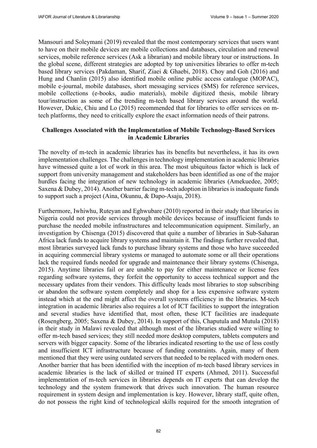Mansouri and Soleymani (2019) revealed that the most contemporary services that users want to have on their mobile devices are mobile collections and databases, circulation and renewal services, mobile reference services (Ask a librarian) and mobile library tour or instructions. In the global scene, different strategies are adopted by top universities libraries to offer m-tech based library services (Pakdaman, Sharif, Ziaei & Ghaebi, 2018). Choy and Goh (2016) and Hung and Chanlin (2015) also identified mobile online public access catalogue (MOPAC), mobile e-journal, mobile databases, short messaging services (SMS) for reference services, mobile collections (e-books, audio materials), mobile digitized thesis, mobile library tour/instruction as some of the trending m-tech based library services around the world. However, Dukic, Chiu and Lo (2015) recommended that for libraries to offer services on mtech platforms, they need to critically explore the exact information needs of their patrons.

## **Challenges Associated with the Implementation of Mobile Technology-Based Services in Academic Libraries**

The novelty of m-tech in academic libraries has its benefits but nevertheless, it has its own implementation challenges. The challenges in technology implementation in academic libraries have witnessed quite a lot of work in this area. The most ubiquitous factor which is lack of support from university management and stakeholders has been identified as one of the major hurdles facing the integration of new technology in academic libraries (Amekuedee, 2005; Saxena & Dubey, 2014). Another barrier facing m-tech adoption in libraries is inadequate funds to support such a project (Aina, Okunnu, & Dapo-Asaju, 2018).

Furthermore, Iwhiwhu, Ruteyan and Eghwubare (2010) reported in their study that libraries in Nigeria could not provide services through mobile devices because of insufficient funds to purchase the needed mobile infrastructures and telecommunication equipment. Similarly, an investigation by Chisenga (2015) discovered that quite a number of libraries in Sub-Saharan Africa lack funds to acquire library systems and maintain it. The findings further revealed that, most libraries surveyed lack funds to purchase library systems and those who have succeeded in acquiring commercial library systems or managed to automate some or all their operations lack the required funds needed for upgrade and maintenance their library systems (Chisenga, 2015). Anytime libraries fail or are unable to pay for either maintenance or license fees regarding software systems, they forfeit the opportunity to access technical support and the necessary updates from their vendors. This difficulty leads most libraries to stop subscribing or abandon the software system completely and shop for a less expensive software system instead which at the end might affect the overall systems efficiency in the libraries. M-tech integration in academic libraries also requires a lot of ICT facilities to support the integration and several studies have identified that, most often, these ICT facilities are inadequate (Rosengberg, 2005; Saxena & Dubey, 2014). In support of this, Chaputula and Mutula (2018) in their study in Malawi revealed that although most of the libraries studied were willing to offer m-tech based services; they still needed more desktop computers, tablets computers and servers with bigger capacity. Some of the libraries indicated resorting to the use of less costly and insufficient ICT infrastructure because of funding constraints. Again, many of them mentioned that they were using outdated servers that needed to be replaced with modern ones. Another barrier that has been identified with the inception of m-tech based library services in academic libraries is the lack of skilled or trained IT experts (Ahmed, 2011). Successful implementation of m-tech services in libraries depends on IT experts that can develop the technology and the system framework that drives such innovation. The human resource requirement in system design and implementation is key. However, library staff, quite often, do not possess the right kind of technological skills required for the smooth integration of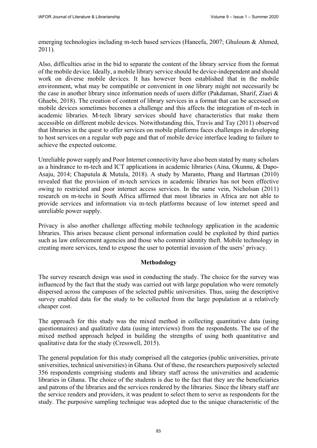emerging technologies including m-tech based services (Haneefa, 2007; Ghuloum & Ahmed, 2011).

Also, difficulties arise in the bid to separate the content of the library service from the format of the mobile device. Ideally, a mobile library service should be device-independent and should work on diverse mobile devices. It has however been established that in the mobile environment, what may be compatible or convenient in one library might not necessarily be the case in another library since information needs of users differ (Pakdaman, Sharif, Ziaei & Ghaebi, 2018). The creation of content of library services in a format that can be accessed on mobile devices sometimes becomes a challenge and this affects the integration of m-tech in academic libraries. M-tech library services should have characteristics that make them accessible on different mobile devices. Notwithstanding this, Travis and Tay (2011) observed that libraries in the quest to offer services on mobile platforms faces challenges in developing to host services on a regular web page and that of mobile device interface leading to failure to achieve the expected outcome.

Unreliable power supply and Poor Internet connectivity have also been stated by many scholars as a hindrance to m-tech and ICT applications in academic libraries (Aina, Okunnu, & Dapo-Asaju, 2014; Chaputula & Mutula, 2018). A study by Maranto, Phang and Hartman (2010) revealed that the provision of m-tech services in academic libraries has not been effective owing to restricted and poor internet access services. In the same vein, Nicholsan (2011) research on m-techs in South Africa affirmed that most libraries in Africa are not able to provide services and information via m-tech platforms because of low internet speed and unreliable power supply.

Privacy is also another challenge affecting mobile technology application in the academic libraries. This arises because client personal information could be exploited by third parties such as law enforcement agencies and those who commit identity theft. Mobile technology in creating more services, tend to expose the user to potential invasion of the users' privacy.

## **Methodology**

The survey research design was used in conducting the study. The choice for the survey was influenced by the fact that the study was carried out with large population who were remotely dispersed across the campuses of the selected public universities. Thus, using the descriptive survey enabled data for the study to be collected from the large population at a relatively cheaper cost.

The approach for this study was the mixed method in collecting quantitative data (using questionnaires) and qualitative data (using interviews) from the respondents. The use of the mixed method approach helped in building the strengths of using both quantitative and qualitative data for the study (Cresswell, 2015).

The general population for this study comprised all the categories (public universities, private universities, technical universities) in Ghana. Out of these, the researchers purposively selected 356 respondents comprising students and library staff across the universities and academic libraries in Ghana. The choice of the students is due to the fact that they are the beneficiaries and patrons of the libraries and the services rendered by the libraries. Since the library staff are the service renders and providers, it was prudent to select them to serve as respondents for the study. The purposive sampling technique was adopted due to the unique characteristic of the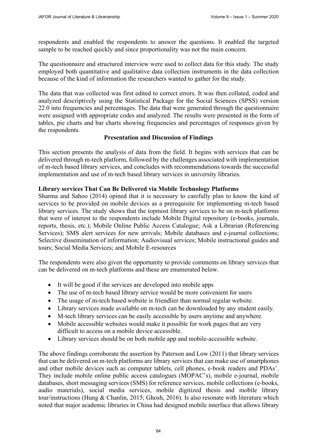respondents and enabled the respondents to answer the questions. It enabled the targeted sample to be reached quickly and since proportionality was not the main concern.

The questionnaire and structured interview were used to collect data for this study. The study employed both quantitative and qualitative data collection instruments in the data collection because of the kind of information the researchers wanted to gather for the study.

The data that was collected was first edited to correct errors. It was then collated, coded and analyzed descriptively using the Statistical Package for the Social Sciences (SPSS) version 22.0 into frequencies and percentages. The data that were generated through the questionnaire were assigned with appropriate codes and analyzed. The results were presented in the form of tables, pie charts and bar charts showing frequencies and percentages of responses given by the respondents.

## **Presentation and Discussion of Findings**

This section presents the analysis of data from the field. It begins with services that can be delivered through m-tech platform, followed by the challenges associated with implementation of m-tech based library services, and concludes with recommendations towards the successful implementation and use of m-tech based library services in university libraries.

# **Library services That Can Be Delivered via Mobile Technology Platforms**

Sharma and Sahoo (2014) opined that it is necessary to carefully plan to know the kind of services to be provided on mobile devices as a prerequisite for implementing m-tech based library services. The study shows that the topmost library services to be on m-tech platforms that were of interest to the respondents include Mobile Digital repository (e-books, journals, reports, thesis, etc.); Mobile Online Public Access Catalogue; Ask a Librarian (Referencing Services); SMS alert services for new arrivals; Mobile databases and e-journal collections; Selective dissemination of information; Audiovisual services; Mobile instructional guides and tours; Social Media Services; and Mobile E-resources

The respondents were also given the opportunity to provide comments on library services that can be delivered on m-tech platforms and these are enumerated below.

- It will be good if the services are developed into mobile apps
- The use of m-tech based library service would be more convenient for users
- The usage of m-tech based website is friendlier than normal regular website.
- Library services made available on m-tech can be downloaded by any student easily.
- M-tech library services can be easily accessible by users anytime and anywhere.
- Mobile accessible websites would make it possible for work pages that are very difficult to access on a mobile device accessible.
- Library services should be on both mobile app and mobile-accessible website.

The above findings corroborate the assertion by Paterson and Low (2011) that library services that can be delivered on m-tech platforms are library services that can make use of smartphones and other mobile devices such as computer tablets, cell phones, e-book readers and PDAs'. They include mobile online public access catalogues (MOPAC's), mobile e-journal, mobile databases, short messaging services (SMS) for reference services, mobile collections (e-books, audio materials), social media services, mobile digitized thesis and mobile library tour/instructions (Hung & Chanlin, 2015; Ghosh, 2016). Is also resonate with literature which noted that major academic libraries in China had designed mobile interface that allows library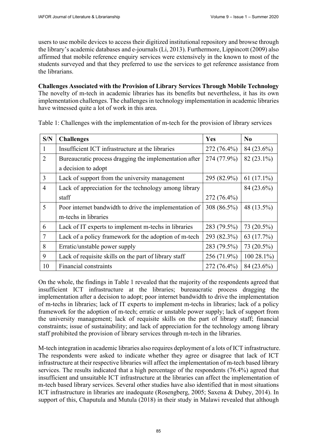users to use mobile devices to access their digitized institutional repository and browse through the library's academic databases and e-journals (Li, 2013). Furthermore, Lippincott (2009) also affirmed that mobile reference enquiry services were extensively in the known to most of the students surveyed and that they preferred to use the services to get reference assistance from the librarians.

**Challenges Associated with the Provision of Library Services Through Mobile Technology** The novelty of m-tech in academic libraries has its benefits but nevertheless, it has its own implementation challenges. The challenges in technology implementation in academic libraries have witnessed quite a lot of work in this area.

| S/N                         | <b>Challenges</b>                                      | Yes         | $\bf No$      |
|-----------------------------|--------------------------------------------------------|-------------|---------------|
|                             | Insufficient ICT infrastructure at the libraries       | 272 (76.4%) | 84 (23.6%)    |
| $\mathcal{D}_{\mathcal{L}}$ | Bureaucratic process dragging the implementation after | 274 (77.9%) | 82 (23.1%)    |
|                             | a decision to adopt                                    |             |               |
| 3                           | Lack of support from the university management         | 295 (82.9%) | 61 $(17.1\%)$ |
| 4                           | Lack of appreciation for the technology among library  |             | 84 (23.6%)    |
|                             | staff                                                  | 272 (76.4%) |               |
| 5                           | Poor internet bandwidth to drive the implementation of | 308 (86.5%) | 48 (13.5%)    |
|                             | m-techs in libraries                                   |             |               |
| 6                           | Lack of IT experts to implement m-techs in libraries   | 283 (79.5%) | 73 (20.5%)    |
| 7                           | Lack of a policy framework for the adoption of m-tech  | 293 (82.3%) | 63 (17.7%)    |
| 8                           | Erratic/unstable power supply                          | 283 (79.5%) | 73 (20.5%)    |
| 9                           | Lack of requisite skills on the part of library staff  | 256 (71.9%) | 100 28.1%)    |
| 10                          | Financial constraints                                  | 272 (76.4%) | 84 (23.6%)    |

Table 1: Challenges with the implementation of m-tech for the provision of library services

On the whole, the findings in Table 1 revealed that the majority of the respondents agreed that insufficient ICT infrastructure at the libraries; bureaucratic process dragging the implementation after a decision to adopt; poor internet bandwidth to drive the implementation of m-techs in libraries; lack of IT experts to implement m-techs in libraries; lack of a policy framework for the adoption of m-tech; erratic or unstable power supply; lack of support from the university management; lack of requisite skills on the part of library staff; financial constraints; issue of sustainability; and lack of appreciation for the technology among library staff prohibited the provision of library services through m-tech in the libraries.

M-tech integration in academic libraries also requires deployment of a lots of ICT infrastructure. The respondents were asked to indicate whether they agree or disagree that lack of ICT infrastructure at their respective libraries will affect the implementation of m-tech based library services. The results indicated that a high percentage of the respondents (76.4%) agreed that insufficient and unsuitable ICT infrastructure at the libraries can affect the implementation of m-tech based library services. Several other studies have also identified that in most situations ICT infrastructure in libraries are inadequate (Rosengberg, 2005; Saxena & Dubey, 2014). In support of this, Chaputula and Mutula (2018) in their study in Malawi revealed that although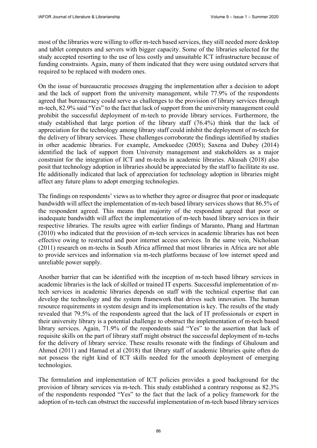most of the libraries were willing to offer m-tech based services, they still needed more desktop and tablet computers and servers with bigger capacity. Some of the libraries selected for the study accepted resorting to the use of less costly and unsuitable ICT infrastructure because of funding constraints. Again, many of them indicated that they were using outdated servers that required to be replaced with modern ones.

On the issue of bureaucratic processes dragging the implementation after a decision to adopt and the lack of support from the university management, while 77.9% of the respondents agreed that bureaucracy could serve as challenges to the provision of library services through m-tech, 82.9% said "Yes" to the fact that lack of support from the university management could prohibit the successful deployment of m-tech to provide library services. Furthermore, the study established that large portion of the library staff (76.4%) think that the lack of appreciation for the technology among library staff could inhibit the deployment of m-tech for the delivery of library services. These challenges corroborate the findings identified by studies in other academic libraries. For example, Amekuedee (2005); Saxena and Dubey (2014) identified the lack of support from University management and stakeholders as a major constraint for the integration of ICT and m-techs in academic libraries. Akusah (2018) also posit that technology adoption in libraries should be appreciated by the staff to facilitate its use. He additionally indicated that lack of appreciation for technology adoption in libraries might affect any future plans to adopt emerging technologies.

The findings on respondents' views as to whether they agree or disagree that poor or inadequate bandwidth will affect the implementation of m-tech based library services shows that 86.5% of the respondent agreed. This means that majority of the respondent agreed that poor or inadequate bandwidth will affect the implementation of m-tech based library services in their respective libraries. The results agree with earlier findings of Maranto, Phang and Hartman (2010) who indicated that the provision of m-tech services in academic libraries has not been effective owing to restricted and poor internet access services. In the same vein, Nicholsan (2011) research on m-techs in South Africa affirmed that most libraries in Africa are not able to provide services and information via m-tech platforms because of low internet speed and unreliable power supply.

Another barrier that can be identified with the inception of m-tech based library services in academic libraries is the lack of skilled or trained IT experts. Successful implementation of mtech services in academic libraries depends on staff with the technical expertise that can develop the technology and the system framework that drives such innovation. The human resource requirements in system design and its implementation is key. The results of the study revealed that 79.5% of the respondents agreed that the lack of IT professionals or expert in their university library is a potential challenge to obstruct the implementation of m-tech based library services. Again, 71.9% of the respondents said "Yes" to the assertion that lack of requisite skills on the part of library staff might obstruct the successful deployment of m-techs for the delivery of library service. These results resonate with the findings of Ghuloum and Ahmed (2011) and Hamad et al (2018) that library staff of academic libraries quite often do not possess the right kind of ICT skills needed for the smooth deployment of emerging technologies.

The formulation and implementation of ICT policies provides a good background for the provision of library services via m-tech. This study established a contrary response as 82.3% of the respondents responded "Yes" to the fact that the lack of a policy framework for the adoption of m-tech can obstruct the successful implementation of m-tech based library services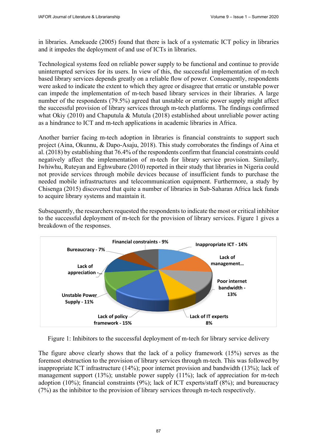in libraries. Amekuede (2005) found that there is lack of a systematic ICT policy in libraries and it impedes the deployment of and use of ICTs in libraries.

Technological systems feed on reliable power supply to be functional and continue to provide uninterrupted services for its users. In view of this, the successful implementation of m-tech based library services depends greatly on a reliable flow of power. Consequently, respondents were asked to indicate the extent to which they agree or disagree that erratic or unstable power can impede the implementation of m-tech based library services in their libraries. A large number of the respondents (79.5%) agreed that unstable or erratic power supply might affect the successful provision of library services through m-tech platforms. The findings confirmed what Okiy (2010) and Chaputula & Mutula (2018) established about unreliable power acting as a hindrance to ICT and m-tech applications in academic libraries in Africa.

Another barrier facing m-tech adoption in libraries is financial constraints to support such project (Aina, Okunnu, & Dapo-Asaju, 2018). This study corroborates the findings of Aina et al. (2018) by establishing that 76.4% of the respondents confirm that financial constraints could negatively affect the implementation of m-tech for library service provision. Similarly, Iwhiwhu, Ruteyan and Eghwubare (2010) reported in their study that libraries in Nigeria could not provide services through mobile devices because of insufficient funds to purchase the needed mobile infrastructures and telecommunication equipment. Furthermore, a study by Chisenga (2015) discovered that quite a number of libraries in Sub-Saharan Africa lack funds to acquire library systems and maintain it.

Subsequently, the researchers requested the respondents to indicate the most or critical inhibitor to the successful deployment of m-tech for the provision of library services. Figure 1 gives a breakdown of the responses.



Figure 1: Inhibitors to the successful deployment of m-tech for library service delivery

The figure above clearly shows that the lack of a policy framework (15%) serves as the foremost obstruction to the provision of library services through m-tech. This was followed by inappropriate ICT infrastructure (14%); poor internet provision and bandwidth (13%); lack of management support (13%); unstable power supply (11%); lack of appreciation for m-tech adoption (10%); financial constraints (9%); lack of ICT experts/staff (8%); and bureaucracy (7%) as the inhibitor to the provision of library services through m-tech respectively.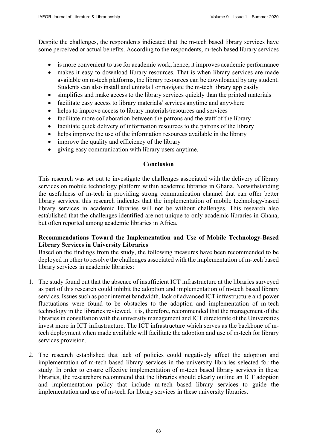Despite the challenges, the respondents indicated that the m-tech based library services have some perceived or actual benefits. According to the respondents, m-tech based library services

- is more convenient to use for academic work, hence, it improves academic performance
- makes it easy to download library resources. That is when library services are made available on m-tech platforms, the library resources can be downloaded by any student. Students can also install and uninstall or navigate the m-tech library app easily
- simplifies and make access to the library services quickly than the printed materials
- facilitate easy access to library materials/ services anytime and anywhere
- helps to improve access to library materials/resources and services
- facilitate more collaboration between the patrons and the staff of the library
- facilitate quick delivery of information resources to the patrons of the library
- helps improve the use of the information resources available in the library
- improve the quality and efficiency of the library
- giving easy communication with library users anytime.

## **Conclusion**

This research was set out to investigate the challenges associated with the delivery of library services on mobile technology platform within academic libraries in Ghana. Notwithstanding the usefulness of m-tech in providing strong communication channel that can offer better library services, this research indicates that the implementation of mobile technology-based library services in academic libraries will not be without challenges. This research also established that the challenges identified are not unique to only academic libraries in Ghana, but often reported among academic libraries in Africa.

# **Recommendations Toward the Implementation and Use of Mobile Technology-Based Library Services in University Libraries**

Based on the findings from the study, the following measures have been recommended to be deployed in other to resolve the challenges associated with the implementation of m-tech based library services in academic libraries:

- 1. The study found out that the absence of insufficient ICT infrastructure at the libraries surveyed as part of this research could inhibit the adoption and implementation of m-tech based library services. Issues such as poor internet bandwidth, lack of advanced ICT infrastructure and power fluctuations were found to be obstacles to the adoption and implementation of m-tech technology in the libraries reviewed. It is, therefore, recommended that the management of the libraries in consultation with the university management and ICT directorate of the Universities invest more in ICT infrastructure. The ICT infrastructure which serves as the backbone of mtech deployment when made available will facilitate the adoption and use of m-tech for library services provision.
- 2. The research established that lack of policies could negatively affect the adoption and implementation of m-tech based library services in the university libraries selected for the study. In order to ensure effective implementation of m-tech based library services in these libraries, the researchers recommend that the libraries should clearly outline an ICT adoption and implementation policy that include m-tech based library services to guide the implementation and use of m-tech for library services in these university libraries.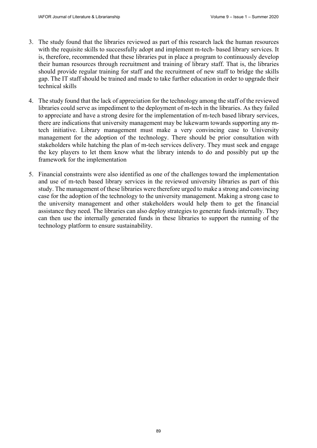- 3. The study found that the libraries reviewed as part of this research lack the human resources with the requisite skills to successfully adopt and implement m-tech- based library services. It is, therefore, recommended that these libraries put in place a program to continuously develop their human resources through recruitment and training of library staff. That is, the libraries should provide regular training for staff and the recruitment of new staff to bridge the skills gap. The IT staff should be trained and made to take further education in order to upgrade their technical skills
- 4. The study found that the lack of appreciation for the technology among the staff of the reviewed libraries could serve as impediment to the deployment of m-tech in the libraries. As they failed to appreciate and have a strong desire for the implementation of m-tech based library services, there are indications that university management may be lukewarm towards supporting any mtech initiative. Library management must make a very convincing case to University management for the adoption of the technology. There should be prior consultation with stakeholders while hatching the plan of m-tech services delivery. They must seek and engage the key players to let them know what the library intends to do and possibly put up the framework for the implementation
- 5. Financial constraints were also identified as one of the challenges toward the implementation and use of m-tech based library services in the reviewed university libraries as part of this study. The management of these libraries were therefore urged to make a strong and convincing case for the adoption of the technology to the university management. Making a strong case to the university management and other stakeholders would help them to get the financial assistance they need. The libraries can also deploy strategies to generate funds internally. They can then use the internally generated funds in these libraries to support the running of the technology platform to ensure sustainability.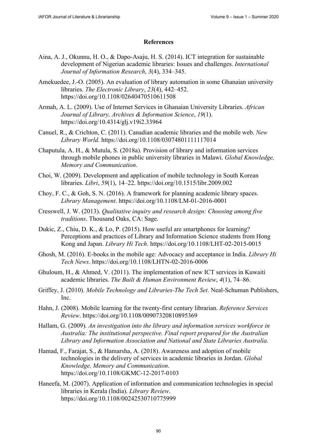#### **References**

- Aina, A. J., Okunnu, H. O., & Dapo-Asaju, H. S. (2014). ICT integration for sustainable development of Nigerian academic libraries: Issues and challenges. *International Journal of Information Research*, *3*(4), 334–345.
- Amekuedee, J.-O. (2005). An evaluation of library automation in some Ghanaian university libraries. *The Electronic Library*, *23*(4), 442–452. <https://doi.org/10.1108/02640470510611508>
- Armah, A. L. (2009). Use of Internet Services in Ghanaian University Libraries. *African Journal of Library, Archives & Information Science*, *19*(1). <https://doi.org/10.4314/glj.v19i2.33964>
- Canuel, R., & Crichton, C. (2011). Canadian academic libraries and the mobile web. *New Library World*.<https://doi.org/10.1108/03074801111117014>
- Chaputula, A. H., & Mutula, S. (2018a). Provision of library and information services through mobile phones in public university libraries in Malawi. *Global Knowledge, Memory and Communication*.
- Choi, W. (2009). Development and application of mobile technology in South Korean libraries. *Libri*, *59*(1), 14–22. <https://doi.org/10.1515/libr.2009.002>
- Choy, F. C., & Goh, S. N. (2016). A framework for planning academic library spaces. *Library Management*. <https://doi.org/10.1108/LM-01-2016-0001>
- Cresswell, J. W. (2013). *Qualitative inquiry and research design: Choosing among five traditions*. Thousand Oaks, CA: Sage.
- Dukic, Z., Chiu, D. K., & Lo, P. (2015). How useful are smartphones for learning? Perceptions and practices of Library and Information Science students from Hong Kong and Japan. *Library Hi Tech*. <https://doi.org/10.1108/LHT-02-2015-0015>
- Ghosh, M. (2016). E-books in the mobile age: Advocacy and acceptance in India. *Library Hi Tech News*. <https://doi.org/10.1108/LHTN-02-2016-0006>
- Ghuloum, H., & Ahmed, V. (2011). The implementation of new ICT services in Kuwaiti academic libraries. *The Built & Human Environment Review*, *4*(1), 74–86.
- Griffey, J. (2010). *Mobile Technology and Libraries-The Tech Set*. Neal-Schuman Publishers, Inc.
- Hahn, J. (2008). Mobile learning for the twenty-first century librarian. *Reference Services Review*.<https://doi.org/10.1108/00907320810895369>
- Hallam, G. (2009). *An investigation into the library and information services workforce in Australia: The institutional perspective. Final report prepared for the Australian Library and Information Association and National and State Libraries Australia*.
- Hamad, F., Farajat, S., & Hamarsha, A. (2018). Awareness and adoption of mobile technologies in the delivery of services in academic libraries in Jordan. *Global Knowledge, Memory and Communication*. <https://doi.org/10.1108/GKMC-12-2017-0103>
- Haneefa, M. (2007). Application of information and communication technologies in special libraries in Kerala (India). *Library Review*. <https://doi.org/10.1108/00242530710775999>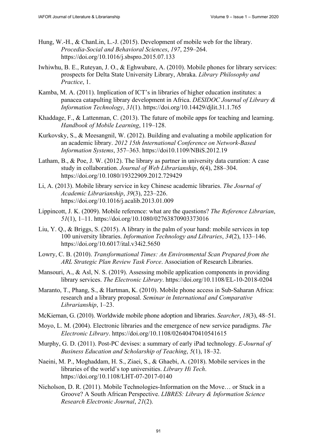- Hung, W.-H., & ChanLin, L.-J. (2015). Development of mobile web for the library. *Procedia-Social and Behavioral Sciences*, *197*, 259–264. <https://doi.org/10.1016/j.sbspro.2015.07.133>
- Iwhiwhu, B. E., Ruteyan, J. O., & Eghwubare, A. (2010). Mobile phones for library services: prospects for Delta State University Library, Abraka. *Library Philosophy and Practice*, 1.
- Kamba, M. A. (2011). Implication of ICT's in libraries of higher education institutes: a panacea catapulting library development in Africa. *DESIDOC Journal of Library & Information Technology*, *31*(1). <https://doi.org/10.14429/djlit.31.1.765>
- Khaddage, F., & Lattenman, C. (2013). The future of mobile apps for teaching and learning. *Handbook of Mobile Learning*, 119–128.
- Kurkovsky, S., & Meesangnil, W. (2012). Building and evaluating a mobile application for an academic library. *2012 15th International Conference on Network-Based Information Systems*, 357–363. <https://doi10.1109/NBiS.2012.19>
- Latham, B., & Poe, J. W. (2012). The library as partner in university data curation: A case study in collaboration. *Journal of Web Librarianship*, *6*(4), 288–304. <https://doi.org/10.1080/19322909.2012.729429>
- Li, A. (2013). Mobile library service in key Chinese academic libraries. *The Journal of Academic Librarianship*, *39*(3), 223–226. <https://doi.org/10.1016/j.acalib.2013.01.009>
- Lippincott, J. K. (2009). Mobile reference: what are the questions? *The Reference Librarian*, *51*(1), 1–11. <https://doi.org/10.1080/02763870903373016>
- Liu, Y. Q., & Briggs, S. (2015). A library in the palm of your hand: mobile services in top 100 university libraries. *Information Technology and Libraries*, *34*(2), 133–146. <https://doi.org/10.6017/ital.v34i2.5650>
- Lowry, C. B. (2010). *Transformational Times: An Environmental Scan Prepared from the ARL Strategic Plan Review Task Force*. Association of Research Libraries.
- Mansouri, A., & Asl, N. S. (2019). Assessing mobile application components in providing library services. *The Electronic Library*. <https://doi.org/10.1108/EL-10-2018-0204>
- Maranto, T., Phang, S., & Hartman, K. (2010). Mobile phone access in Sub-Saharan Africa: research and a library proposal. *Seminar in International and Comparative Librarianship*, 1–23.
- McKiernan, G. (2010). Worldwide mobile phone adoption and libraries. *Searcher*, *18*(3), 48–51.
- Moyo, L. M. (2004). Electronic libraries and the emergence of new service paradigms. *The Electronic Library*.<https://doi.org/10.1108/02640470410541615>
- Murphy, G. D. (2011). Post-PC devises: a summary of early iPad technology. *E-Journal of Business Education and Scholarship of Teaching*, *5*(1), 18–32.
- Naeini, M. P., Moghaddam, H. S., Ziaei, S., & Ghaebi, A. (2018). Mobile services in the libraries of the world's top universities. *Library Hi Tech*. <https://doi.org/10.1108/LHT-07-2017-0140>
- Nicholson, D. R. (2011). Mobile Technologies-Information on the Move… or Stuck in a Groove? A South African Perspective. *LIBRES: Library & Information Science Research Electronic Journal*, *21*(2).